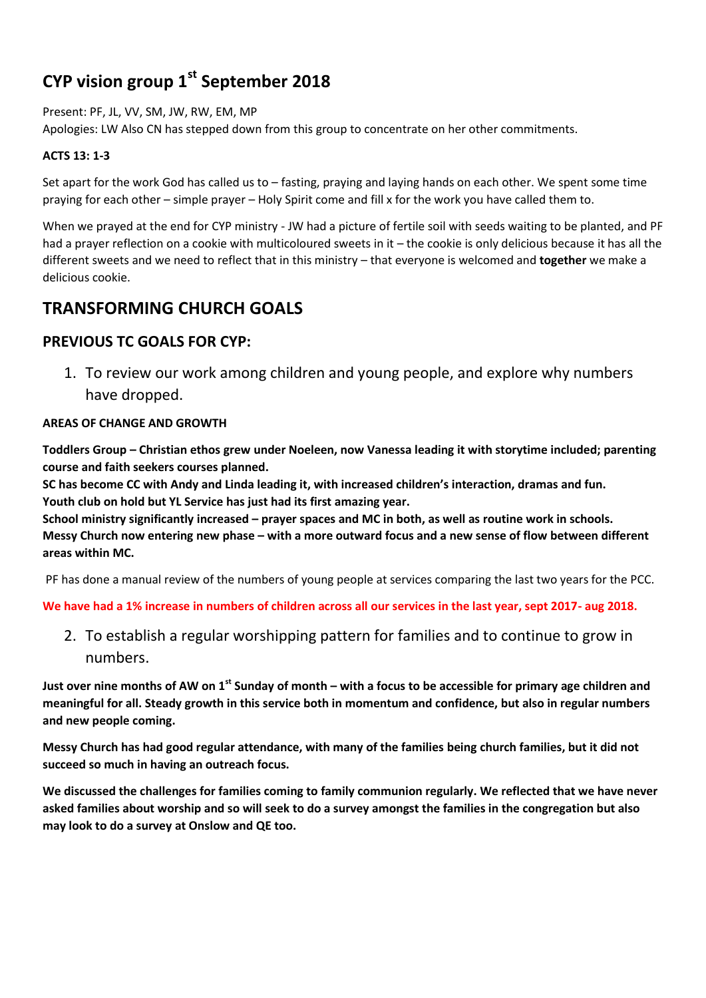# **CYP vision group 1st September 2018**

Present: PF, JL, VV, SM, JW, RW, EM, MP

Apologies: LW Also CN has stepped down from this group to concentrate on her other commitments.

#### **ACTS 13: 1-3**

Set apart for the work God has called us to – fasting, praying and laying hands on each other. We spent some time praying for each other – simple prayer – Holy Spirit come and fill x for the work you have called them to.

When we prayed at the end for CYP ministry - JW had a picture of fertile soil with seeds waiting to be planted, and PF had a prayer reflection on a cookie with multicoloured sweets in it – the cookie is only delicious because it has all the different sweets and we need to reflect that in this ministry – that everyone is welcomed and **together** we make a delicious cookie.

# **TRANSFORMING CHURCH GOALS**

### **PREVIOUS TC GOALS FOR CYP:**

1. To review our work among children and young people, and explore why numbers have dropped.

#### **AREAS OF CHANGE AND GROWTH**

**Toddlers Group – Christian ethos grew under Noeleen, now Vanessa leading it with storytime included; parenting course and faith seekers courses planned.** 

**SC has become CC with Andy and Linda leading it, with increased children's interaction, dramas and fun. Youth club on hold but YL Service has just had its first amazing year.** 

**School ministry significantly increased – prayer spaces and MC in both, as well as routine work in schools. Messy Church now entering new phase – with a more outward focus and a new sense of flow between different areas within MC.**

PF has done a manual review of the numbers of young people at services comparing the last two years for the PCC.

**We have had a 1% increase in numbers of children across all our services in the last year, sept 2017- aug 2018.**

2. To establish a regular worshipping pattern for families and to continue to grow in numbers.

**Just over nine months of AW on 1st Sunday of month – with a focus to be accessible for primary age children and meaningful for all. Steady growth in this service both in momentum and confidence, but also in regular numbers and new people coming.**

**Messy Church has had good regular attendance, with many of the families being church families, but it did not succeed so much in having an outreach focus.**

**We discussed the challenges for families coming to family communion regularly. We reflected that we have never asked families about worship and so will seek to do a survey amongst the families in the congregation but also may look to do a survey at Onslow and QE too.**